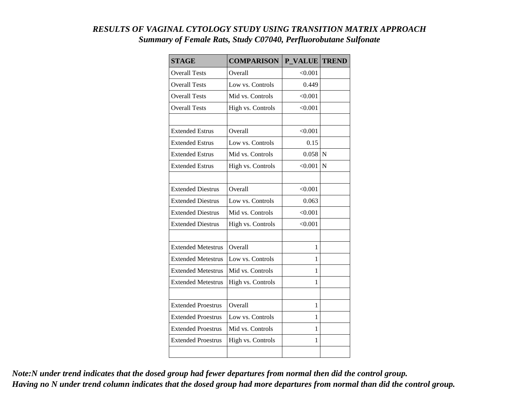## *RESULTS OF VAGINAL CYTOLOGY STUDY USING TRANSITION MATRIX APPROACH Summary of Female Rats, Study C07040, Perfluorobutane Sulfonate*

| <b>STAGE</b>              | <b>COMPARISON</b> | <b>P VALUE</b> | <b>TREND</b> |
|---------------------------|-------------------|----------------|--------------|
| <b>Overall Tests</b>      | Overall           | < 0.001        |              |
| <b>Overall Tests</b>      | Low vs. Controls  | 0.449          |              |
| <b>Overall Tests</b>      | Mid vs. Controls  | < 0.001        |              |
| <b>Overall Tests</b>      | High vs. Controls | < 0.001        |              |
|                           |                   |                |              |
| <b>Extended Estrus</b>    | Overall           | < 0.001        |              |
| <b>Extended Estrus</b>    | Low vs. Controls  | 0.15           |              |
| <b>Extended Estrus</b>    | Mid vs. Controls  | 0.058          | N            |
| <b>Extended Estrus</b>    | High vs. Controls | < 0.001        | $\mathbf N$  |
|                           |                   |                |              |
| <b>Extended Diestrus</b>  | Overall           | < 0.001        |              |
| <b>Extended Diestrus</b>  | Low vs. Controls  | 0.063          |              |
| <b>Extended Diestrus</b>  | Mid vs. Controls  | < 0.001        |              |
| <b>Extended Diestrus</b>  | High vs. Controls | < 0.001        |              |
|                           |                   |                |              |
| <b>Extended Metestrus</b> | Overall           | 1              |              |
| <b>Extended Metestrus</b> | Low vs. Controls  | 1              |              |
| <b>Extended Metestrus</b> | Mid vs. Controls  | 1              |              |
| <b>Extended Metestrus</b> | High vs. Controls | 1              |              |
|                           |                   |                |              |
| <b>Extended Proestrus</b> | Overall           | 1              |              |
| <b>Extended Proestrus</b> | Low vs. Controls  | 1              |              |
| <b>Extended Proestrus</b> | Mid vs. Controls  | 1              |              |
| <b>Extended Proestrus</b> | High vs. Controls | 1              |              |
|                           |                   |                |              |

*Note:N under trend indicates that the dosed group had fewer departures from normal then did the control group. Having no N under trend column indicates that the dosed group had more departures from normal than did the control group.*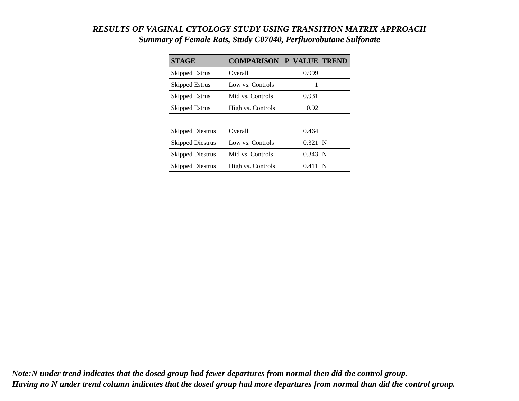## *RESULTS OF VAGINAL CYTOLOGY STUDY USING TRANSITION MATRIX APPROACH Summary of Female Rats, Study C07040, Perfluorobutane Sulfonate*

| <b>STAGE</b>            | <b>COMPARISON</b> | P VALUE TREND |     |
|-------------------------|-------------------|---------------|-----|
| Skipped Estrus          | Overall           | 0.999         |     |
| Skipped Estrus          | Low vs. Controls  | 1             |     |
| Skipped Estrus          | Mid vs. Controls  | 0.931         |     |
| <b>Skipped Estrus</b>   | High vs. Controls | 0.92          |     |
|                         |                   |               |     |
| <b>Skipped Diestrus</b> | Overall           | 0.464         |     |
| <b>Skipped Diestrus</b> | Low vs. Controls  | 0.321         | N   |
| <b>Skipped Diestrus</b> | Mid vs. Controls  | 0.343         | l N |
| <b>Skipped Diestrus</b> | High vs. Controls | 0.411         | N   |

*Note:N under trend indicates that the dosed group had fewer departures from normal then did the control group. Having no N under trend column indicates that the dosed group had more departures from normal than did the control group.*